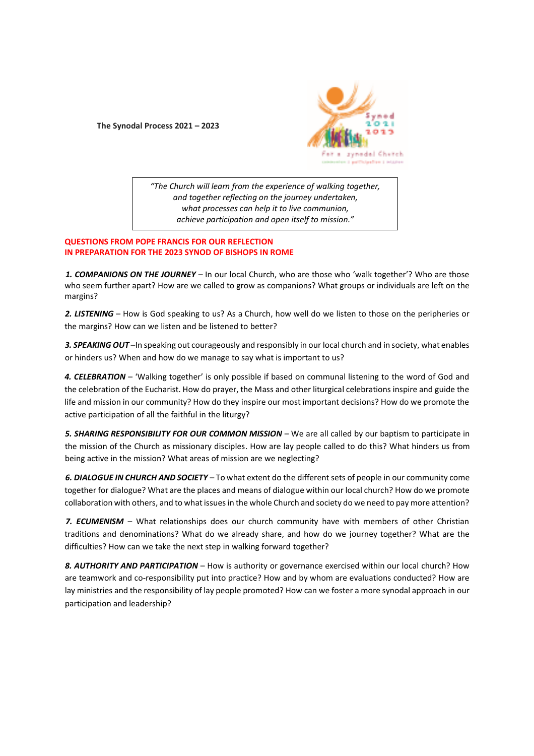**The Synodal Process 2021 – 2023**



*"The Church will learn from the experience of walking together, and together reflecting on the journey undertaken, what processes can help it to live communion, achieve participation and open itself to mission."*

## **QUESTIONS FROM POPE FRANCIS FOR OUR REFLECTION IN PREPARATION FOR THE 2023 SYNOD OF BISHOPS IN ROME**

*1. COMPANIONS ON THE JOURNEY* – In our local Church, who are those who 'walk together'? Who are those who seem further apart? How are we called to grow as companions? What groups or individuals are left on the margins?

*2. LISTENING* – How is God speaking to us? As a Church, how well do we listen to those on the peripheries or the margins? How can we listen and be listened to better?

*3. SPEAKING OUT* –In speaking out courageously and responsibly in our local church and in society, what enables or hinders us? When and how do we manage to say what is important to us?

4. CELEBRATION – 'Walking together' is only possible if based on communal listening to the word of God and the celebration of the Eucharist. How do prayer, the Mass and other liturgical celebrations inspire and guide the life and mission in our community? How do they inspire our most important decisions? How do we promote the active participation of all the faithful in the liturgy?

**5. SHARING RESPONSIBILITY FOR OUR COMMON MISSION -** We are all called by our baptism to participate in the mission of the Church as missionary disciples. How are lay people called to do this? What hinders us from being active in the mission? What areas of mission are we neglecting?

*6. DIALOGUE IN CHURCH AND SOCIETY* – To what extent do the different sets of people in our community come together for dialogue? What are the places and means of dialogue within our local church? How do we promote collaboration with others, and to what issues in the whole Church and society do we need to pay more attention?

7. ECUMENISM - What relationships does our church community have with members of other Christian traditions and denominations? What do we already share, and how do we journey together? What are the difficulties? How can we take the next step in walking forward together?

8. AUTHORITY AND PARTICIPATION – How is authority or governance exercised within our local church? How are teamwork and co-responsibility put into practice? How and by whom are evaluations conducted? How are lay ministries and the responsibility of lay people promoted? How can we foster a more synodal approach in our participation and leadership?